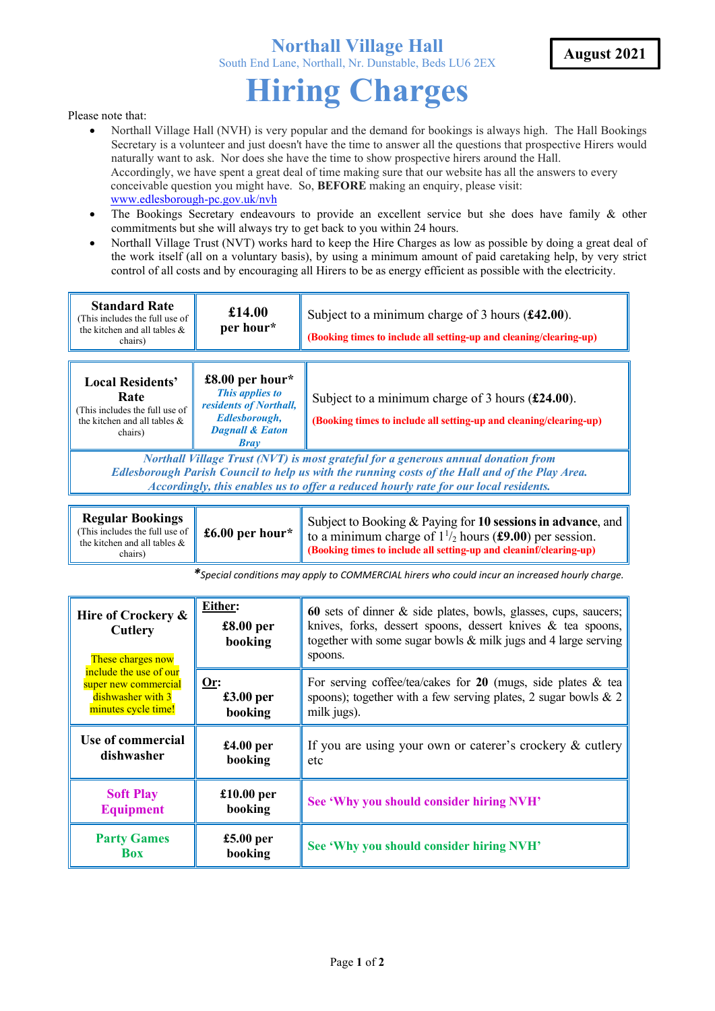## **Northall Village Hall**  South End Lane, Northall, Nr. Dunstable, Beds LU6 2EX

## **Hiring Charges**

Please note that:

- Northall Village Hall (NVH) is very popular and the demand for bookings is always high. The Hall Bookings Secretary is a volunteer and just doesn't have the time to answer all the questions that prospective Hirers would naturally want to ask. Nor does she have the time to show prospective hirers around the Hall. Accordingly, we have spent a great deal of time making sure that our website has all the answers to every conceivable question you might have. So, **BEFORE** making an enquiry, please visit: www.edlesborough-pc.gov.uk/nvh
- The Bookings Secretary endeavours to provide an excellent service but she does have family & other commitments but she will always try to get back to you within 24 hours.
- Northall Village Trust (NVT) works hard to keep the Hire Charges as low as possible by doing a great deal of the work itself (all on a voluntary basis), by using a minimum amount of paid caretaking help, by very strict control of all costs and by encouraging all Hirers to be as energy efficient as possible with the electricity.

| <b>Standard Rate</b><br>(This includes the full use of<br>the kitchen and all tables &<br>chairs)                                                                                                                                                                            | £14.00<br>per hour*                                                                                                        | Subject to a minimum charge of 3 hours $(f42.00)$ .<br>(Booking times to include all setting-up and cleaning/clearing-up)        |  |  |
|------------------------------------------------------------------------------------------------------------------------------------------------------------------------------------------------------------------------------------------------------------------------------|----------------------------------------------------------------------------------------------------------------------------|----------------------------------------------------------------------------------------------------------------------------------|--|--|
| <b>Local Residents'</b><br>Rate<br>This includes the full use of<br>the kitchen and all tables &<br>chairs)                                                                                                                                                                  | £8.00 per hour*<br>This applies to<br>residents of Northall,<br>Edlesborough,<br><b>Dagnall &amp; Eaton</b><br><b>Bray</b> | Subject to a minimum charge of 3 hours $(\pounds 24.00)$ .<br>(Booking times to include all setting-up and cleaning/clearing-up) |  |  |
| Northall Village Trust (NVT) is most grateful for a generous annual donation from<br>Edlesborough Parish Council to help us with the running costs of the Hall and of the Play Area.<br>Accordingly, this enables us to offer a reduced hourly rate for our local residents. |                                                                                                                            |                                                                                                                                  |  |  |

| <b>Regular Bookings</b><br>(This includes the full use of $\parallel$ £6.00 per hour*<br>the kitchen and all tables &<br>chairs) | Subject to Booking & Paying for 10 sessions in advance, and<br>to a minimum charge of $1\frac{1}{2}$ hours (£9.00) per session.<br>$\parallel$ (Booking times to include all setting-up and cleaninf/clearing-up) |
|----------------------------------------------------------------------------------------------------------------------------------|-------------------------------------------------------------------------------------------------------------------------------------------------------------------------------------------------------------------|
|----------------------------------------------------------------------------------------------------------------------------------|-------------------------------------------------------------------------------------------------------------------------------------------------------------------------------------------------------------------|

*\*Special conditions may apply to COMMERCIAL hirers who could incur an increased hourly charge.* 

| Hire of Crockery &<br>Cutlery<br>These charges now                                         | Either:<br>£8.00 <sub>per</sub><br>booking | 60 sets of dinner $\&$ side plates, bowls, glasses, cups, saucers;<br>knives, forks, dessert spoons, dessert knives $\&$ tea spoons,<br>together with some sugar bowls $\&$ milk jugs and 4 large serving<br>spoons. |
|--------------------------------------------------------------------------------------------|--------------------------------------------|----------------------------------------------------------------------------------------------------------------------------------------------------------------------------------------------------------------------|
| include the use of our<br>super new commercial<br>dishwasher with 3<br>minutes cycle time! | Or:<br>$£3.00$ per<br>booking              | For serving coffee/tea/cakes for 20 (mugs, side plates & tea $\parallel$<br>spoons); together with a few serving plates, 2 sugar bowls & 2<br>milk jugs).                                                            |
| Use of commercial<br>dishwasher                                                            | $£4.00$ per<br>booking                     | If you are using your own or caterer's crockery & cutlery<br>etc                                                                                                                                                     |
| <b>Soft Play</b><br><b>Equipment</b>                                                       | $£10.00$ per<br>booking                    | See 'Why you should consider hiring NVH'                                                                                                                                                                             |
| <b>Party Games</b><br><b>Box</b>                                                           | $£5.00$ per<br>booking                     | See 'Why you should consider hiring NVH'                                                                                                                                                                             |